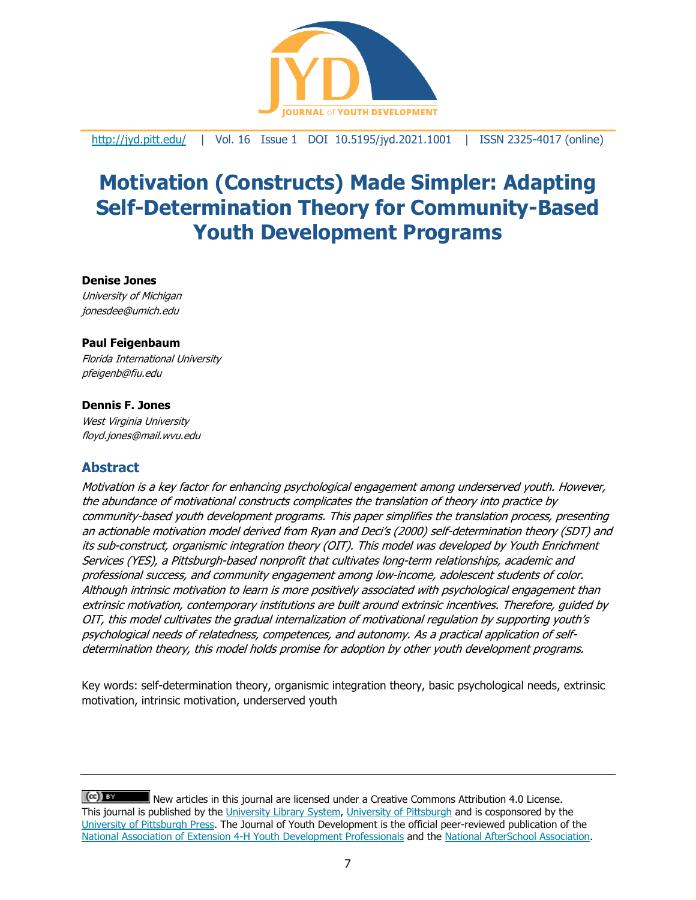

<http://jyd.pitt.edu/> | Vol. 16 Issue 1 DOI 10.5195/jyd.2021.1001 | ISSN 2325-4017 (online)

# **Motivation (Constructs) Made Simpler: Adapting Self-Determination Theory for Community-Based Youth Development Programs**

#### **Denise Jones**

University of Michigan jonesdee@umich.edu

#### **Paul Feigenbaum**

Florida International University pfeigenb@fiu.edu

#### **Dennis F. Jones**

West Virginia University floyd.jones@mail.wvu.edu

## **Abstract**

Motivation is a key factor for enhancing psychological engagement among underserved youth. However, the abundance of motivational constructs complicates the translation of theory into practice by community-based youth development programs. This paper simplifies the translation process, presenting an actionable motivation model derived from Ryan and Deci's (2000) self-determination theory (SDT) and its sub-construct, organismic integration theory (OIT). This model was developed by Youth Enrichment Services (YES), a Pittsburgh-based nonprofit that cultivates long-term relationships, academic and professional success, and community engagement among low-income, adolescent students of color. Although intrinsic motivation to learn is more positively associated with psychological engagement than extrinsic motivation, contemporary institutions are built around extrinsic incentives. Therefore, guided by OIT, this model cultivates the gradual internalization of motivational regulation by supporting youth's psychological needs of relatedness, competences, and autonomy. As <sup>a</sup> practical application of selfdetermination theory, this model holds promise for adoption by other youth development programs.

Key words: self-determination theory, organismic integration theory, basic psychological needs, extrinsic motivation, intrinsic motivation, underserved youth

 $(cc)$  BY New articles in this journal are licensed under a Creative Commons Attribution 4.0 License. This journal is published by the [University Library System,](http://www.library.pitt.edu/) [University of Pittsburgh](http://www.pitt.edu/) and is cosponsored by the [University of Pittsburgh Press.](http://www.upress.pitt.edu/upressIndex.aspx) The Journal of Youth Development is the official peer-reviewed publication of the [National Association of Extension 4-H Youth Development Professionals](http://www.nae4ha.com/) and the [National AfterSchool Association.](http://naaweb.org/)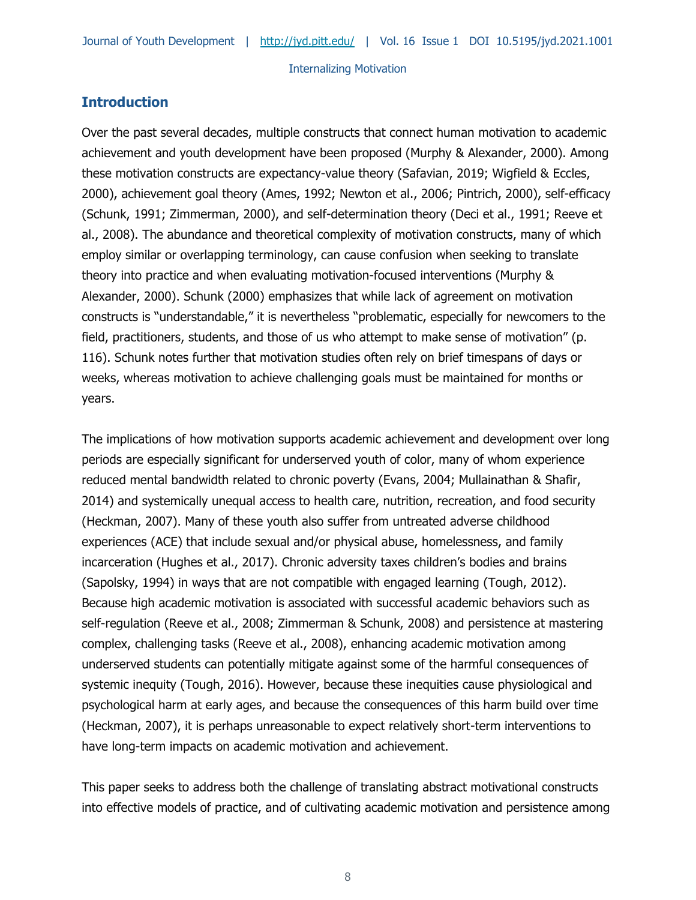## **Introduction**

Over the past several decades, multiple constructs that connect human motivation to academic achievement and youth development have been proposed (Murphy & Alexander, 2000). Among these motivation constructs are expectancy-value theory (Safavian, 2019; Wigfield & Eccles, 2000), achievement goal theory (Ames, 1992; Newton et al., 2006; Pintrich, 2000), self-efficacy (Schunk, 1991; Zimmerman, 2000), and self-determination theory (Deci et al., 1991; Reeve et al., 2008). The abundance and theoretical complexity of motivation constructs, many of which employ similar or overlapping terminology, can cause confusion when seeking to translate theory into practice and when evaluating motivation-focused interventions (Murphy & Alexander, 2000). Schunk (2000) emphasizes that while lack of agreement on motivation constructs is "understandable," it is nevertheless "problematic, especially for newcomers to the field, practitioners, students, and those of us who attempt to make sense of motivation" (p. 116). Schunk notes further that motivation studies often rely on brief timespans of days or weeks, whereas motivation to achieve challenging goals must be maintained for months or years.

The implications of how motivation supports academic achievement and development over long periods are especially significant for underserved youth of color, many of whom experience reduced mental bandwidth related to chronic poverty (Evans, 2004; Mullainathan & Shafir, 2014) and systemically unequal access to health care, nutrition, recreation, and food security (Heckman, 2007). Many of these youth also suffer from untreated adverse childhood experiences (ACE) that include sexual and/or physical abuse, homelessness, and family incarceration (Hughes et al., 2017). Chronic adversity taxes children's bodies and brains (Sapolsky, 1994) in ways that are not compatible with engaged learning (Tough, 2012). Because high academic motivation is associated with successful academic behaviors such as self-regulation (Reeve et al., 2008; Zimmerman & Schunk, 2008) and persistence at mastering complex, challenging tasks (Reeve et al., 2008), enhancing academic motivation among underserved students can potentially mitigate against some of the harmful consequences of systemic inequity (Tough, 2016). However, because these inequities cause physiological and psychological harm at early ages, and because the consequences of this harm build over time (Heckman, 2007), it is perhaps unreasonable to expect relatively short-term interventions to have long-term impacts on academic motivation and achievement.

This paper seeks to address both the challenge of translating abstract motivational constructs into effective models of practice, and of cultivating academic motivation and persistence among

8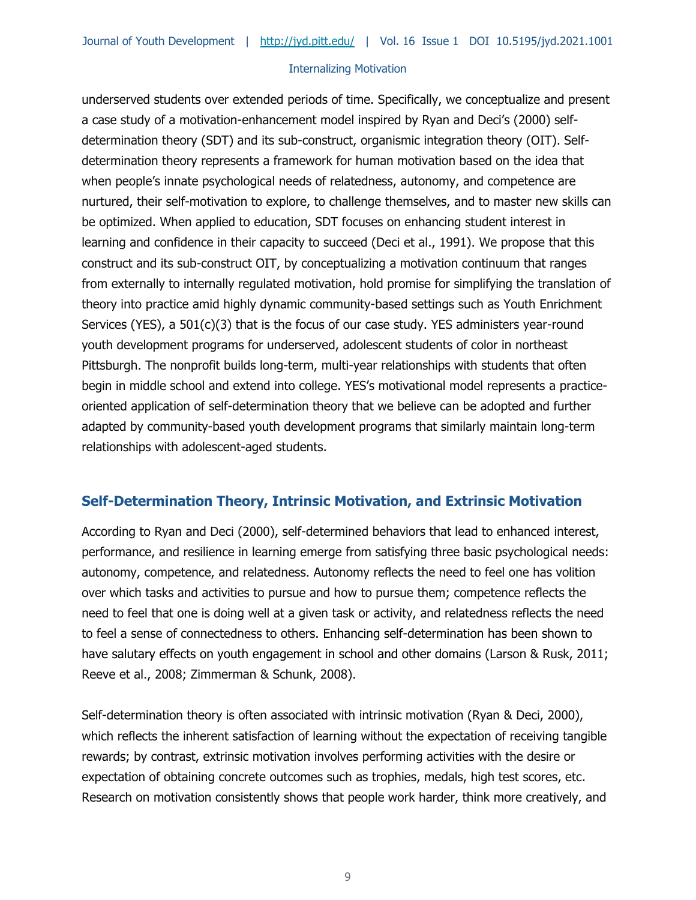underserved students over extended periods of time. Specifically, we conceptualize and present a case study of a motivation-enhancement model inspired by Ryan and Deci's (2000) selfdetermination theory (SDT) and its sub-construct, organismic integration theory (OIT). Selfdetermination theory represents a framework for human motivation based on the idea that when people's innate psychological needs of relatedness, autonomy, and competence are nurtured, their self-motivation to explore, to challenge themselves, and to master new skills can be optimized. When applied to education, SDT focuses on enhancing student interest in learning and confidence in their capacity to succeed (Deci et al., 1991). We propose that this construct and its sub-construct OIT, by conceptualizing a motivation continuum that ranges from externally to internally regulated motivation, hold promise for simplifying the translation of theory into practice amid highly dynamic community-based settings such as Youth Enrichment Services (YES), a 501(c)(3) that is the focus of our case study. YES administers year-round youth development programs for underserved, adolescent students of color in northeast Pittsburgh. The nonprofit builds long-term, multi-year relationships with students that often begin in middle school and extend into college. YES's motivational model represents a practiceoriented application of self-determination theory that we believe can be adopted and further adapted by community-based youth development programs that similarly maintain long-term relationships with adolescent-aged students.

## **Self-Determination Theory, Intrinsic Motivation, and Extrinsic Motivation**

According to Ryan and Deci (2000), self-determined behaviors that lead to enhanced interest, performance, and resilience in learning emerge from satisfying three basic psychological needs: autonomy, competence, and relatedness. Autonomy reflects the need to feel one has volition over which tasks and activities to pursue and how to pursue them; competence reflects the need to feel that one is doing well at a given task or activity, and relatedness reflects the need to feel a sense of connectedness to others. Enhancing self-determination has been shown to have salutary effects on youth engagement in school and other domains (Larson & Rusk, 2011; Reeve et al., 2008; Zimmerman & Schunk, 2008).

Self-determination theory is often associated with intrinsic motivation (Ryan & Deci, 2000), which reflects the inherent satisfaction of learning without the expectation of receiving tangible rewards; by contrast, extrinsic motivation involves performing activities with the desire or expectation of obtaining concrete outcomes such as trophies, medals, high test scores, etc. Research on motivation consistently shows that people work harder, think more creatively, and

9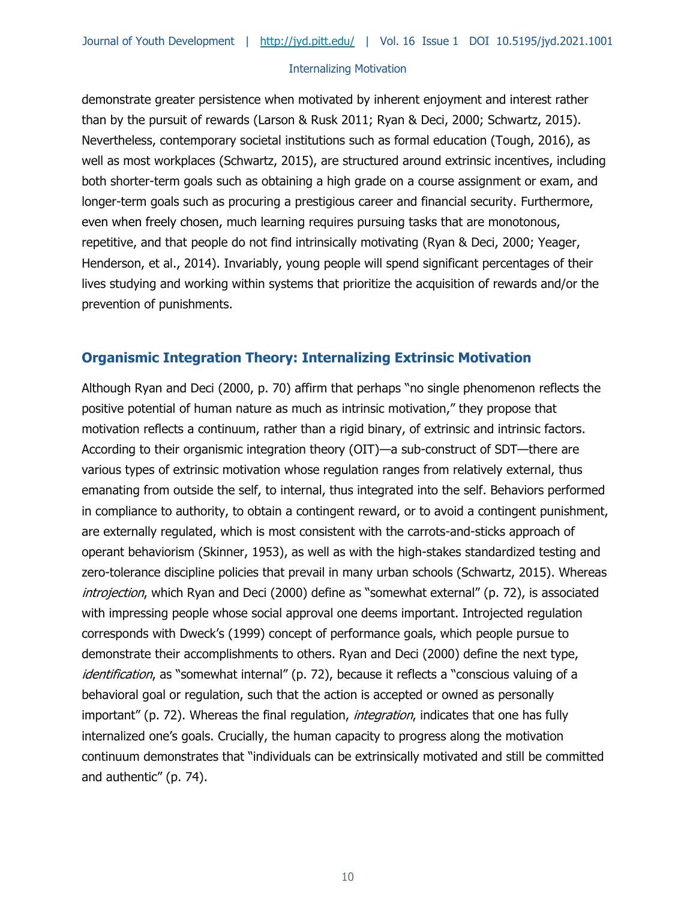demonstrate greater persistence when motivated by inherent enjoyment and interest rather than by the pursuit of rewards (Larson & Rusk 2011; Ryan & Deci, 2000; Schwartz, 2015). Nevertheless, contemporary societal institutions such as formal education (Tough, 2016), as well as most workplaces (Schwartz, 2015), are structured around extrinsic incentives, including both shorter-term goals such as obtaining a high grade on a course assignment or exam, and longer-term goals such as procuring a prestigious career and financial security. Furthermore, even when freely chosen, much learning requires pursuing tasks that are monotonous, repetitive, and that people do not find intrinsically motivating (Ryan & Deci, 2000; Yeager, Henderson, et al., 2014). Invariably, young people will spend significant percentages of their lives studying and working within systems that prioritize the acquisition of rewards and/or the prevention of punishments.

## **Organismic Integration Theory: Internalizing Extrinsic Motivation**

Although Ryan and Deci (2000, p. 70) affirm that perhaps "no single phenomenon reflects the positive potential of human nature as much as intrinsic motivation," they propose that motivation reflects a continuum, rather than a rigid binary, of extrinsic and intrinsic factors. According to their organismic integration theory (OIT)—a sub-construct of SDT—there are various types of extrinsic motivation whose regulation ranges from relatively external, thus emanating from outside the self, to internal, thus integrated into the self. Behaviors performed in compliance to authority, to obtain a contingent reward, or to avoid a contingent punishment, are externally regulated, which is most consistent with the carrots-and-sticks approach of operant behaviorism (Skinner, 1953), as well as with the high-stakes standardized testing and zero-tolerance discipline policies that prevail in many urban schools (Schwartz, 2015). Whereas introjection, which Ryan and Deci (2000) define as "somewhat external" (p. 72), is associated with impressing people whose social approval one deems important. Introjected regulation corresponds with Dweck's (1999) concept of performance goals, which people pursue to demonstrate their accomplishments to others. Ryan and Deci (2000) define the next type, identification, as "somewhat internal" (p. 72), because it reflects a "conscious valuing of a behavioral goal or regulation, such that the action is accepted or owned as personally important" (p. 72). Whereas the final regulation, *integration*, indicates that one has fully internalized one's goals. Crucially, the human capacity to progress along the motivation continuum demonstrates that "individuals can be extrinsically motivated and still be committed and authentic" (p. 74).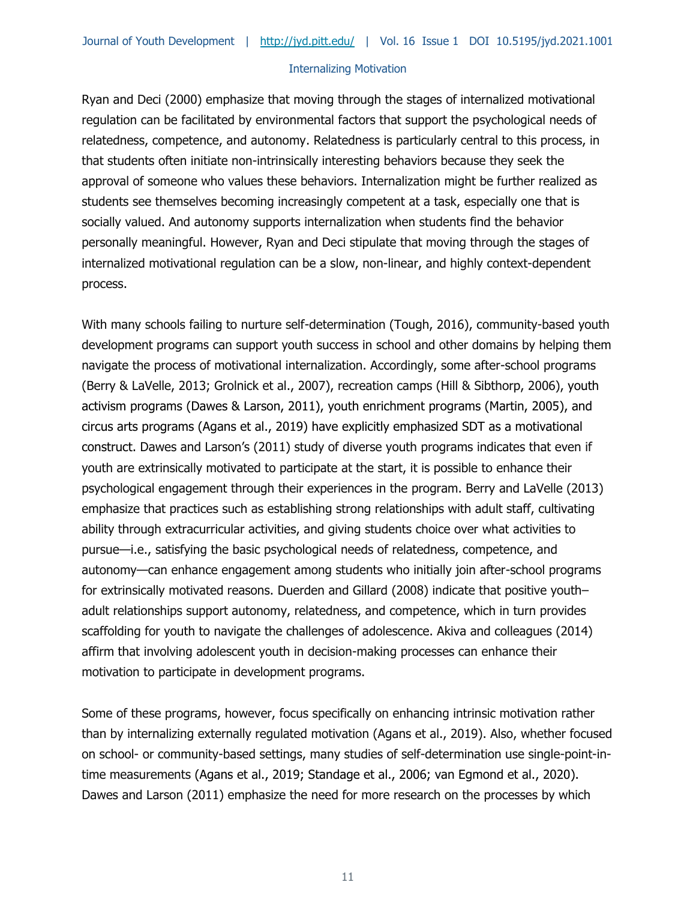Ryan and Deci (2000) emphasize that moving through the stages of internalized motivational regulation can be facilitated by environmental factors that support the psychological needs of relatedness, competence, and autonomy. Relatedness is particularly central to this process, in that students often initiate non-intrinsically interesting behaviors because they seek the approval of someone who values these behaviors. Internalization might be further realized as students see themselves becoming increasingly competent at a task, especially one that is socially valued. And autonomy supports internalization when students find the behavior personally meaningful. However, Ryan and Deci stipulate that moving through the stages of internalized motivational regulation can be a slow, non-linear, and highly context-dependent process.

With many schools failing to nurture self-determination (Tough, 2016), community-based youth development programs can support youth success in school and other domains by helping them navigate the process of motivational internalization. Accordingly, some after-school programs (Berry & LaVelle, 2013; Grolnick et al., 2007), recreation camps (Hill & Sibthorp, 2006), youth activism programs (Dawes & Larson, 2011), youth enrichment programs (Martin, 2005), and circus arts programs (Agans et al., 2019) have explicitly emphasized SDT as a motivational construct. Dawes and Larson's (2011) study of diverse youth programs indicates that even if youth are extrinsically motivated to participate at the start, it is possible to enhance their psychological engagement through their experiences in the program. Berry and LaVelle (2013) emphasize that practices such as establishing strong relationships with adult staff, cultivating ability through extracurricular activities, and giving students choice over what activities to pursue—i.e., satisfying the basic psychological needs of relatedness, competence, and autonomy—can enhance engagement among students who initially join after-school programs for extrinsically motivated reasons. Duerden and Gillard (2008) indicate that positive youth– adult relationships support autonomy, relatedness, and competence, which in turn provides scaffolding for youth to navigate the challenges of adolescence. Akiva and colleagues (2014) affirm that involving adolescent youth in decision-making processes can enhance their motivation to participate in development programs.

Some of these programs, however, focus specifically on enhancing intrinsic motivation rather than by internalizing externally regulated motivation (Agans et al., 2019). Also, whether focused on school- or community-based settings, many studies of self-determination use single-point-intime measurements (Agans et al., 2019; Standage et al., 2006; van Egmond et al., 2020). Dawes and Larson (2011) emphasize the need for more research on the processes by which

11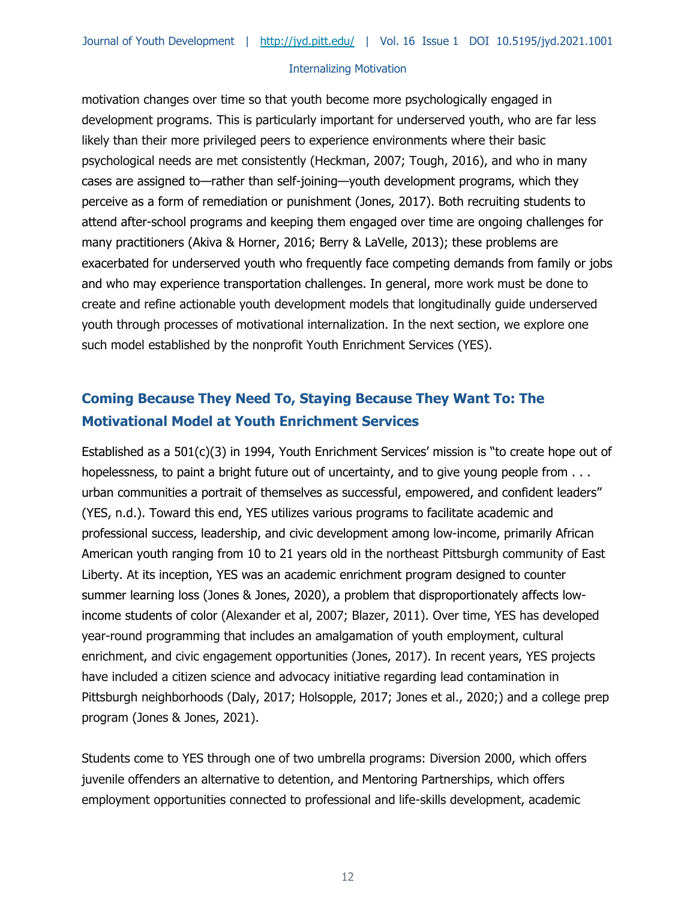motivation changes over time so that youth become more psychologically engaged in development programs. This is particularly important for underserved youth, who are far less likely than their more privileged peers to experience environments where their basic psychological needs are met consistently (Heckman, 2007; Tough, 2016), and who in many cases are assigned to—rather than self-joining—youth development programs, which they perceive as a form of remediation or punishment (Jones, 2017). Both recruiting students to attend after-school programs and keeping them engaged over time are ongoing challenges for many practitioners (Akiva & Horner, 2016; Berry & LaVelle, 2013); these problems are exacerbated for underserved youth who frequently face competing demands from family or jobs and who may experience transportation challenges. In general, more work must be done to create and refine actionable youth development models that longitudinally guide underserved youth through processes of motivational internalization. In the next section, we explore one such model established by the nonprofit Youth Enrichment Services (YES).

## **Coming Because They Need To, Staying Because They Want To: The Motivational Model at Youth Enrichment Services**

Established as a 501(c)(3) in 1994, Youth Enrichment Services' mission is "to create hope out of hopelessness, to paint a bright future out of uncertainty, and to give young people from . . . urban communities a portrait of themselves as successful, empowered, and confident leaders" (YES, n.d.). Toward this end, YES utilizes various programs to facilitate academic and professional success, leadership, and civic development among low-income, primarily African American youth ranging from 10 to 21 years old in the northeast Pittsburgh community of East Liberty. At its inception, YES was an academic enrichment program designed to counter summer learning loss (Jones & Jones, 2020), a problem that disproportionately affects lowincome students of color (Alexander et al, 2007; Blazer, 2011). Over time, YES has developed year-round programming that includes an amalgamation of youth employment, cultural enrichment, and civic engagement opportunities (Jones, 2017). In recent years, YES projects have included a citizen science and advocacy initiative regarding lead contamination in Pittsburgh neighborhoods (Daly, 2017; Holsopple, 2017; Jones et al., 2020;) and a college prep program (Jones & Jones, 2021).

Students come to YES through one of two umbrella programs: Diversion 2000, which offers juvenile offenders an alternative to detention, and Mentoring Partnerships, which offers employment opportunities connected to professional and life-skills development, academic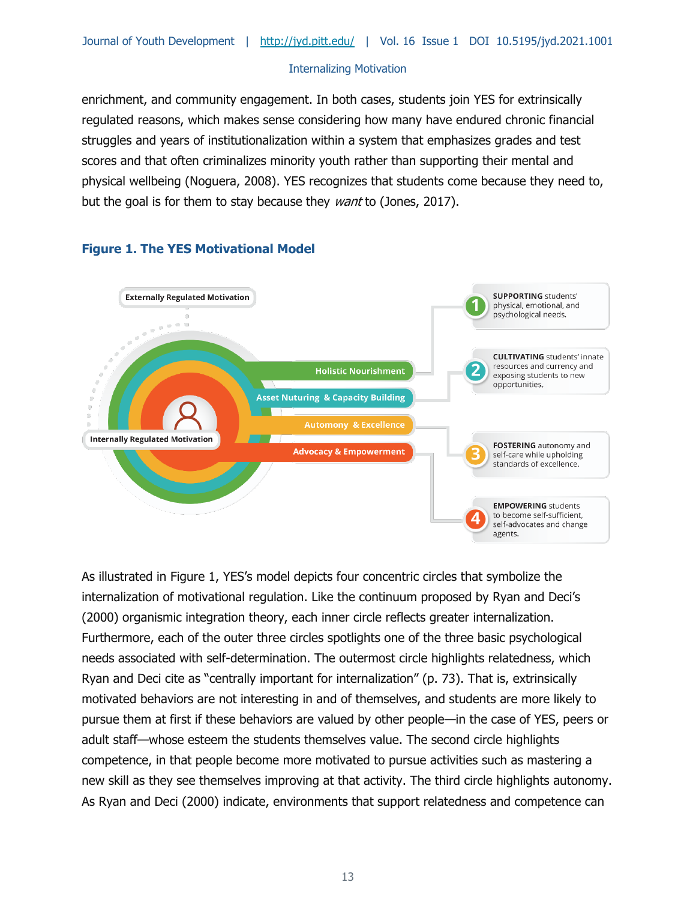enrichment, and community engagement. In both cases, students join YES for extrinsically regulated reasons, which makes sense considering how many have endured chronic financial struggles and years of institutionalization within a system that emphasizes grades and test scores and that often criminalizes minority youth rather than supporting their mental and physical wellbeing (Noguera, 2008). YES recognizes that students come because they need to, but the goal is for them to stay because they *want* to (Jones, 2017).



## **Figure 1. The YES Motivational Model**

As illustrated in Figure 1, YES's model depicts four concentric circles that symbolize the internalization of motivational regulation. Like the continuum proposed by Ryan and Deci's (2000) organismic integration theory, each inner circle reflects greater internalization. Furthermore, each of the outer three circles spotlights one of the three basic psychological needs associated with self-determination. The outermost circle highlights relatedness, which Ryan and Deci cite as "centrally important for internalization" (p. 73). That is, extrinsically motivated behaviors are not interesting in and of themselves, and students are more likely to pursue them at first if these behaviors are valued by other people—in the case of YES, peers or adult staff—whose esteem the students themselves value. The second circle highlights competence, in that people become more motivated to pursue activities such as mastering a new skill as they see themselves improving at that activity. The third circle highlights autonomy. As Ryan and Deci (2000) indicate, environments that support relatedness and competence can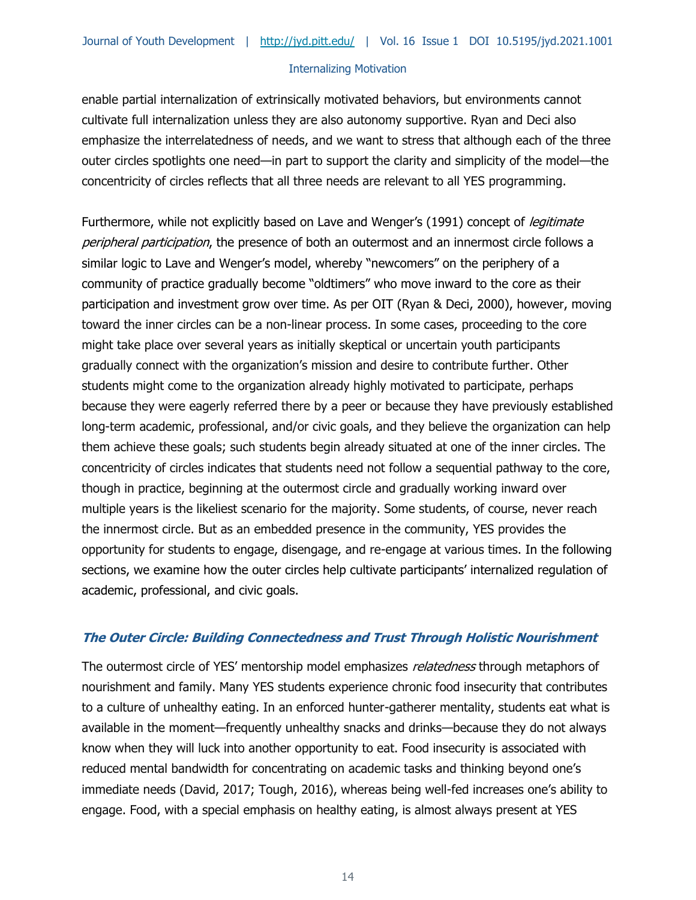enable partial internalization of extrinsically motivated behaviors, but environments cannot cultivate full internalization unless they are also autonomy supportive. Ryan and Deci also emphasize the interrelatedness of needs, and we want to stress that although each of the three outer circles spotlights one need—in part to support the clarity and simplicity of the model—the concentricity of circles reflects that all three needs are relevant to all YES programming.

Furthermore, while not explicitly based on Lave and Wenger's (1991) concept of *legitimate* peripheral participation, the presence of both an outermost and an innermost circle follows a similar logic to Lave and Wenger's model, whereby "newcomers" on the periphery of a community of practice gradually become "oldtimers" who move inward to the core as their participation and investment grow over time. As per OIT (Ryan & Deci, 2000), however, moving toward the inner circles can be a non-linear process. In some cases, proceeding to the core might take place over several years as initially skeptical or uncertain youth participants gradually connect with the organization's mission and desire to contribute further. Other students might come to the organization already highly motivated to participate, perhaps because they were eagerly referred there by a peer or because they have previously established long-term academic, professional, and/or civic goals, and they believe the organization can help them achieve these goals; such students begin already situated at one of the inner circles. The concentricity of circles indicates that students need not follow a sequential pathway to the core, though in practice, beginning at the outermost circle and gradually working inward over multiple years is the likeliest scenario for the majority. Some students, of course, never reach the innermost circle. But as an embedded presence in the community, YES provides the opportunity for students to engage, disengage, and re-engage at various times. In the following sections, we examine how the outer circles help cultivate participants' internalized regulation of academic, professional, and civic goals.

## **The Outer Circle: Building Connectedness and Trust Through Holistic Nourishment**

The outermost circle of YES' mentorship model emphasizes *relatedness* through metaphors of nourishment and family. Many YES students experience chronic food insecurity that contributes to a culture of unhealthy eating. In an enforced hunter-gatherer mentality, students eat what is available in the moment—frequently unhealthy snacks and drinks—because they do not always know when they will luck into another opportunity to eat. Food insecurity is associated with reduced mental bandwidth for concentrating on academic tasks and thinking beyond one's immediate needs (David, 2017; Tough, 2016), whereas being well-fed increases one's ability to engage. Food, with a special emphasis on healthy eating, is almost always present at YES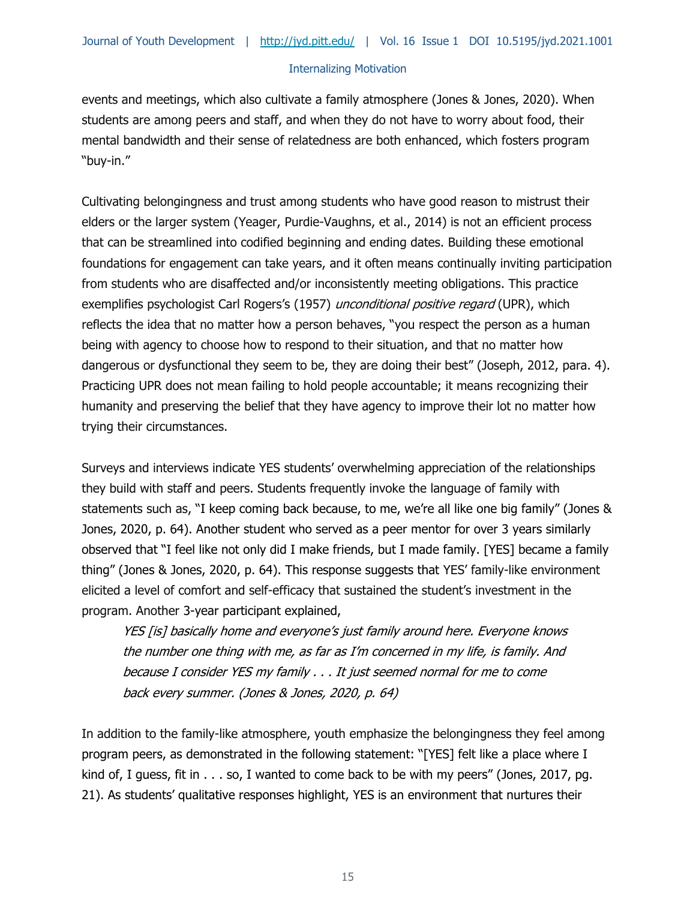events and meetings, which also cultivate a family atmosphere (Jones & Jones, 2020). When students are among peers and staff, and when they do not have to worry about food, their mental bandwidth and their sense of relatedness are both enhanced, which fosters program "buy-in."

Cultivating belongingness and trust among students who have good reason to mistrust their elders or the larger system (Yeager, Purdie-Vaughns, et al., 2014) is not an efficient process that can be streamlined into codified beginning and ending dates. Building these emotional foundations for engagement can take years, and it often means continually inviting participation from students who are disaffected and/or inconsistently meeting obligations. This practice exemplifies psychologist Carl Rogers's (1957) unconditional positive regard (UPR), which reflects the idea that no matter how a person behaves, "you respect the person as a human being with agency to choose how to respond to their situation, and that no matter how dangerous or dysfunctional they seem to be, they are doing their best" (Joseph, 2012, para. 4). Practicing UPR does not mean failing to hold people accountable; it means recognizing their humanity and preserving the belief that they have agency to improve their lot no matter how trying their circumstances.

Surveys and interviews indicate YES students' overwhelming appreciation of the relationships they build with staff and peers. Students frequently invoke the language of family with statements such as, "I keep coming back because, to me, we're all like one big family" (Jones & Jones, 2020, p. 64). Another student who served as a peer mentor for over 3 years similarly observed that "I feel like not only did I make friends, but I made family. [YES] became a family thing" (Jones & Jones, 2020, p. 64). This response suggests that YES' family-like environment elicited a level of comfort and self-efficacy that sustained the student's investment in the program. Another 3-year participant explained,

YES [is] basically home and everyone's just family around here. Everyone knows the number one thing with me, as far as I'm concerned in my life, is family. And because I consider YES my family . . . It just seemed normal for me to come back every summer. (Jones & Jones, 2020, p. 64)

In addition to the family-like atmosphere, youth emphasize the belongingness they feel among program peers, as demonstrated in the following statement: "[YES] felt like a place where I kind of, I guess, fit in . . . so, I wanted to come back to be with my peers" (Jones, 2017, pg. 21). As students' qualitative responses highlight, YES is an environment that nurtures their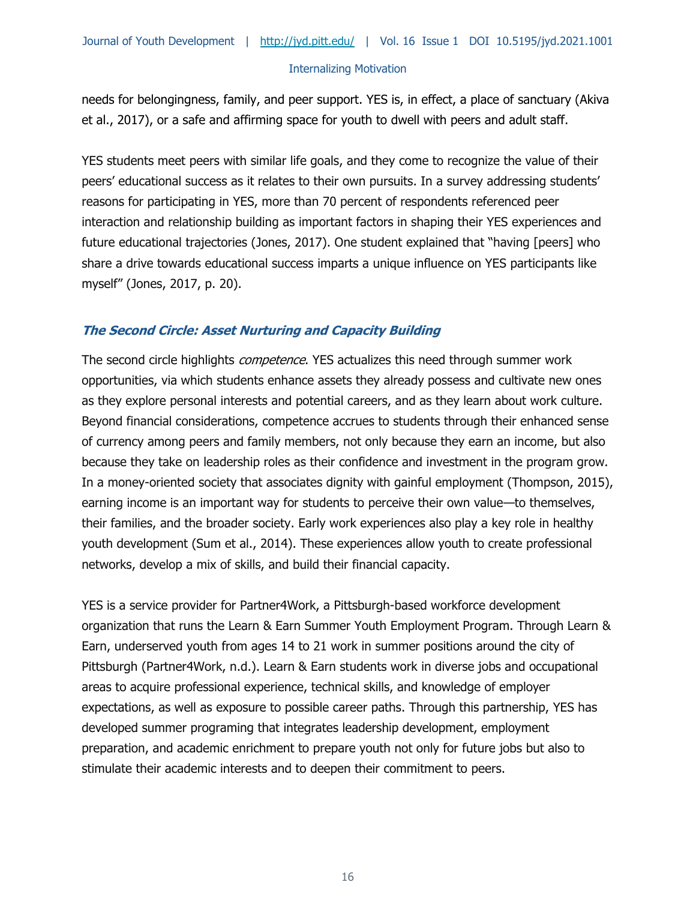needs for belongingness, family, and peer support. YES is, in effect, a place of sanctuary (Akiva et al., 2017), or a safe and affirming space for youth to dwell with peers and adult staff.

YES students meet peers with similar life goals, and they come to recognize the value of their peers' educational success as it relates to their own pursuits. In a survey addressing students' reasons for participating in YES, more than 70 percent of respondents referenced peer interaction and relationship building as important factors in shaping their YES experiences and future educational trajectories (Jones, 2017). One student explained that "having [peers] who share a drive towards educational success imparts a unique influence on YES participants like myself" (Jones, 2017, p. 20).

## **The Second Circle: Asset Nurturing and Capacity Building**

The second circle highlights *competence*. YES actualizes this need through summer work opportunities, via which students enhance assets they already possess and cultivate new ones as they explore personal interests and potential careers, and as they learn about work culture. Beyond financial considerations, competence accrues to students through their enhanced sense of currency among peers and family members, not only because they earn an income, but also because they take on leadership roles as their confidence and investment in the program grow. In a money-oriented society that associates dignity with gainful employment (Thompson, 2015), earning income is an important way for students to perceive their own value—to themselves, their families, and the broader society. Early work experiences also play a key role in healthy youth development (Sum et al., 2014). These experiences allow youth to create professional networks, develop a mix of skills, and build their financial capacity.

YES is a service provider for Partner4Work, a Pittsburgh-based workforce development organization that runs the Learn & Earn Summer Youth Employment Program. Through Learn & Earn, underserved youth from ages 14 to 21 work in summer positions around the city of Pittsburgh (Partner4Work, n.d.). Learn & Earn students work in diverse jobs and occupational areas to acquire professional experience, technical skills, and knowledge of employer expectations, as well as exposure to possible career paths. Through this partnership, YES has developed summer programing that integrates leadership development, employment preparation, and academic enrichment to prepare youth not only for future jobs but also to stimulate their academic interests and to deepen their commitment to peers.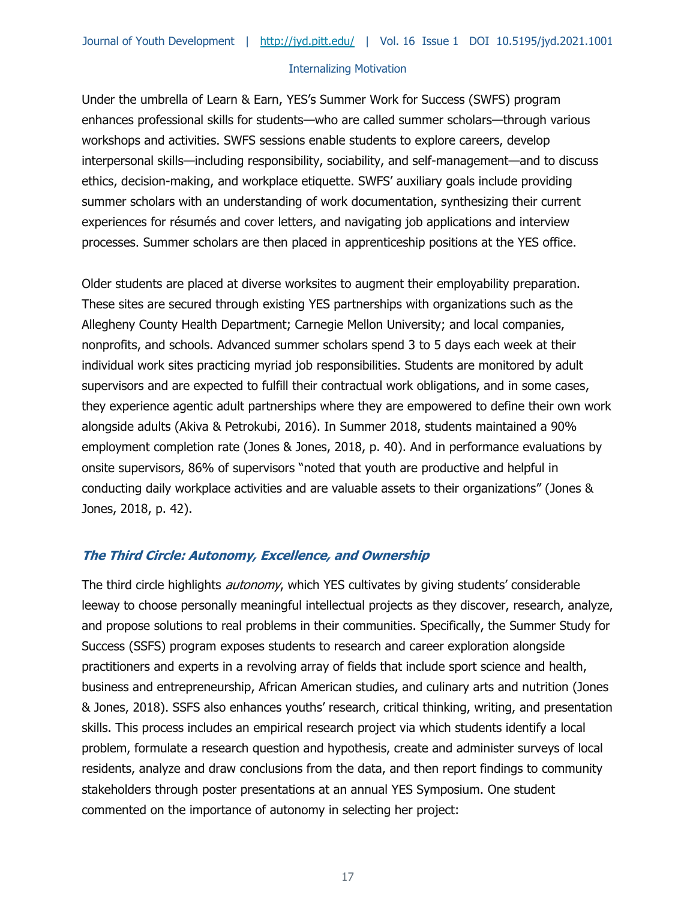Under the umbrella of Learn & Earn, YES's Summer Work for Success (SWFS) program enhances professional skills for students—who are called summer scholars—through various workshops and activities. SWFS sessions enable students to explore careers, develop interpersonal skills—including responsibility, sociability, and self-management—and to discuss ethics, decision-making, and workplace etiquette. SWFS' auxiliary goals include providing summer scholars with an understanding of work documentation, synthesizing their current experiences for résumés and cover letters, and navigating job applications and interview processes. Summer scholars are then placed in apprenticeship positions at the YES office.

Older students are placed at diverse worksites to augment their employability preparation. These sites are secured through existing YES partnerships with organizations such as the Allegheny County Health Department; Carnegie Mellon University; and local companies, nonprofits, and schools. Advanced summer scholars spend 3 to 5 days each week at their individual work sites practicing myriad job responsibilities. Students are monitored by adult supervisors and are expected to fulfill their contractual work obligations, and in some cases, they experience agentic adult partnerships where they are empowered to define their own work alongside adults (Akiva & Petrokubi, 2016). In Summer 2018, students maintained a 90% employment completion rate (Jones & Jones, 2018, p. 40). And in performance evaluations by onsite supervisors, 86% of supervisors "noted that youth are productive and helpful in conducting daily workplace activities and are valuable assets to their organizations" (Jones & Jones, 2018, p. 42).

## **The Third Circle: Autonomy, Excellence, and Ownership**

The third circle highlights *autonomy*, which YES cultivates by giving students' considerable leeway to choose personally meaningful intellectual projects as they discover, research, analyze, and propose solutions to real problems in their communities. Specifically, the Summer Study for Success (SSFS) program exposes students to research and career exploration alongside practitioners and experts in a revolving array of fields that include sport science and health, business and entrepreneurship, African American studies, and culinary arts and nutrition (Jones & Jones, 2018). SSFS also enhances youths' research, critical thinking, writing, and presentation skills. This process includes an empirical research project via which students identify a local problem, formulate a research question and hypothesis, create and administer surveys of local residents, analyze and draw conclusions from the data, and then report findings to community stakeholders through poster presentations at an annual YES Symposium. One student commented on the importance of autonomy in selecting her project: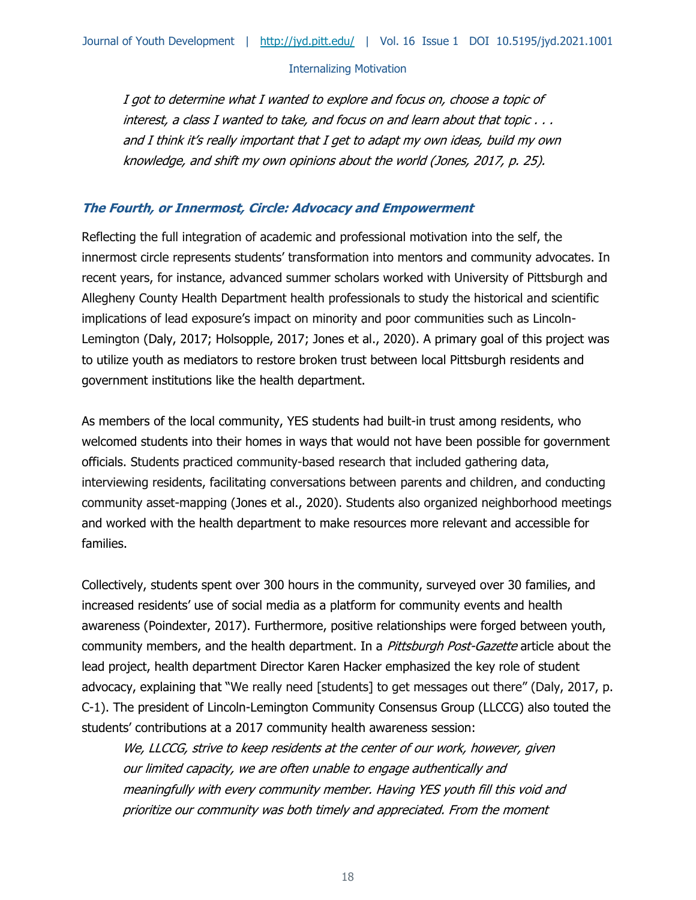I got to determine what I wanted to explore and focus on, choose a topic of interest, a class I wanted to take, and focus on and learn about that topic . . . and I think it's really important that I get to adapt my own ideas, build my own knowledge, and shift my own opinions about the world (Jones, 2017, p. 25).

#### **The Fourth, or Innermost, Circle: Advocacy and Empowerment**

Reflecting the full integration of academic and professional motivation into the self, the innermost circle represents students' transformation into mentors and community advocates. In recent years, for instance, advanced summer scholars worked with University of Pittsburgh and Allegheny County Health Department health professionals to study the historical and scientific implications of lead exposure's impact on minority and poor communities such as Lincoln-Lemington (Daly, 2017; Holsopple, 2017; Jones et al., 2020). A primary goal of this project was to utilize youth as mediators to restore broken trust between local Pittsburgh residents and government institutions like the health department.

As members of the local community, YES students had built-in trust among residents, who welcomed students into their homes in ways that would not have been possible for government officials. Students practiced community-based research that included gathering data, interviewing residents, facilitating conversations between parents and children, and conducting community asset-mapping (Jones et al., 2020). Students also organized neighborhood meetings and worked with the health department to make resources more relevant and accessible for families.

Collectively, students spent over 300 hours in the community, surveyed over 30 families, and increased residents' use of social media as a platform for community events and health awareness (Poindexter, 2017). Furthermore, positive relationships were forged between youth, community members, and the health department. In a Pittsburgh Post-Gazette article about the lead project, health department Director Karen Hacker emphasized the key role of student advocacy, explaining that "We really need [students] to get messages out there" (Daly, 2017, p. C-1). The president of Lincoln-Lemington Community Consensus Group (LLCCG) also touted the students' contributions at a 2017 community health awareness session:

We, LLCCG, strive to keep residents at the center of our work, however, given our limited capacity, we are often unable to engage authentically and meaningfully with every community member. Having YES youth fill this void and prioritize our community was both timely and appreciated. From the moment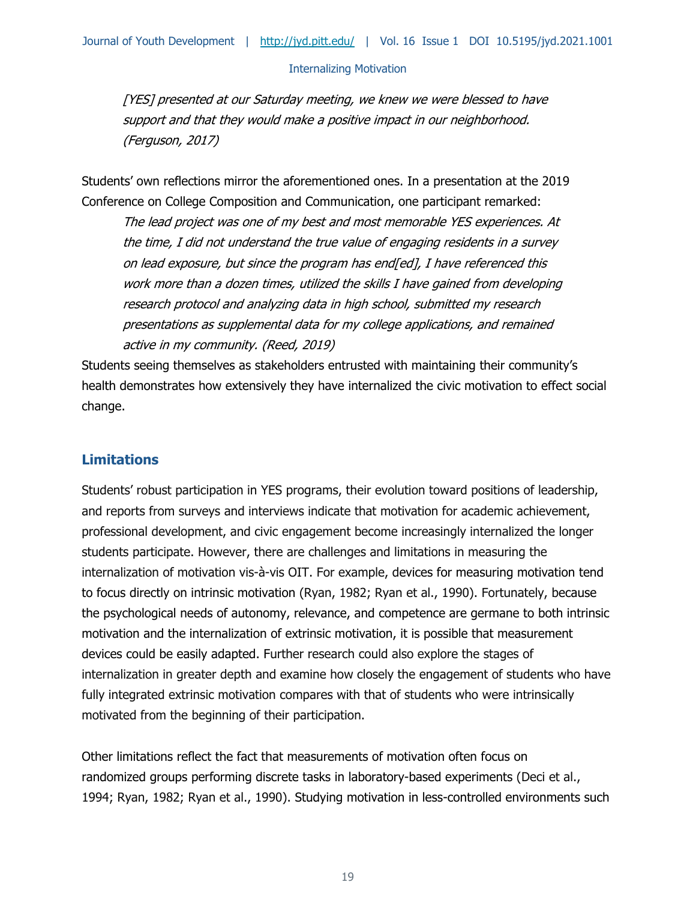[YES] presented at our Saturday meeting, we knew we were blessed to have support and that they would make a positive impact in our neighborhood. (Ferguson, 2017)

Students' own reflections mirror the aforementioned ones. In a presentation at the 2019 Conference on College Composition and Communication, one participant remarked:

The lead project was one of my best and most memorable YES experiences. At the time, I did not understand the true value of engaging residents in a survey on lead exposure, but since the program has end[ed], I have referenced this work more than a dozen times, utilized the skills I have gained from developing research protocol and analyzing data in high school, submitted my research presentations as supplemental data for my college applications, and remained active in my community. (Reed, 2019)

Students seeing themselves as stakeholders entrusted with maintaining their community's health demonstrates how extensively they have internalized the civic motivation to effect social change.

## **Limitations**

Students' robust participation in YES programs, their evolution toward positions of leadership, and reports from surveys and interviews indicate that motivation for academic achievement, professional development, and civic engagement become increasingly internalized the longer students participate. However, there are challenges and limitations in measuring the internalization of motivation vis-à-vis OIT. For example, devices for measuring motivation tend to focus directly on intrinsic motivation (Ryan, 1982; Ryan et al., 1990). Fortunately, because the psychological needs of autonomy, relevance, and competence are germane to both intrinsic motivation and the internalization of extrinsic motivation, it is possible that measurement devices could be easily adapted. Further research could also explore the stages of internalization in greater depth and examine how closely the engagement of students who have fully integrated extrinsic motivation compares with that of students who were intrinsically motivated from the beginning of their participation.

Other limitations reflect the fact that measurements of motivation often focus on randomized groups performing discrete tasks in laboratory-based experiments (Deci et al., 1994; Ryan, 1982; Ryan et al., 1990). Studying motivation in less-controlled environments such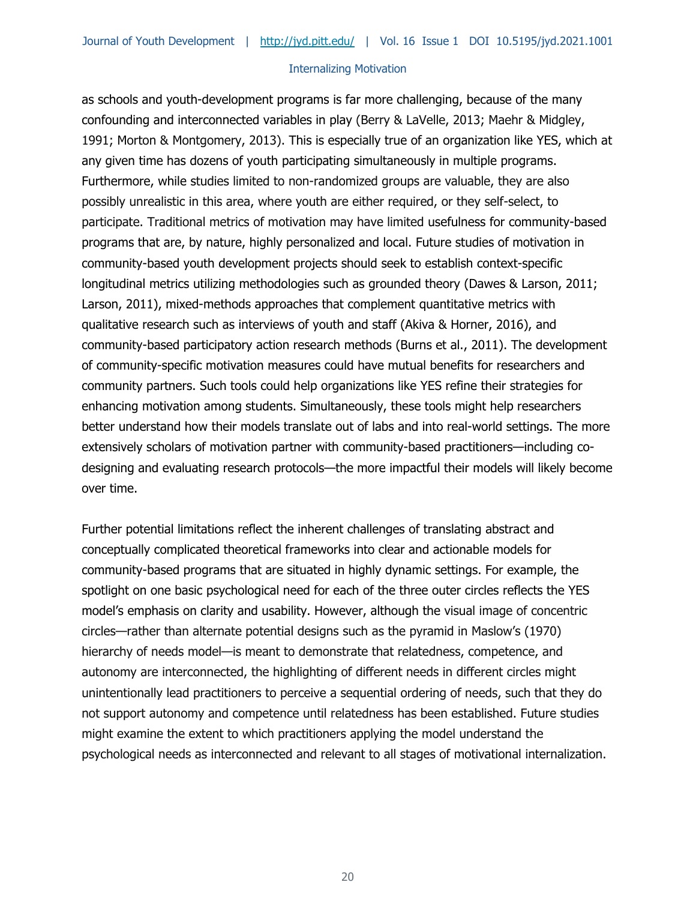as schools and youth-development programs is far more challenging, because of the many confounding and interconnected variables in play (Berry & LaVelle, 2013; Maehr & Midgley, 1991; Morton & Montgomery, 2013). This is especially true of an organization like YES, which at any given time has dozens of youth participating simultaneously in multiple programs. Furthermore, while studies limited to non-randomized groups are valuable, they are also possibly unrealistic in this area, where youth are either required, or they self-select, to participate. Traditional metrics of motivation may have limited usefulness for community-based programs that are, by nature, highly personalized and local. Future studies of motivation in community-based youth development projects should seek to establish context-specific longitudinal metrics utilizing methodologies such as grounded theory (Dawes & Larson, 2011; Larson, 2011), mixed-methods approaches that complement quantitative metrics with qualitative research such as interviews of youth and staff (Akiva & Horner, 2016), and community-based participatory action research methods (Burns et al., 2011). The development of community-specific motivation measures could have mutual benefits for researchers and community partners. Such tools could help organizations like YES refine their strategies for enhancing motivation among students. Simultaneously, these tools might help researchers better understand how their models translate out of labs and into real-world settings. The more extensively scholars of motivation partner with community-based practitioners—including codesigning and evaluating research protocols—the more impactful their models will likely become over time.

Further potential limitations reflect the inherent challenges of translating abstract and conceptually complicated theoretical frameworks into clear and actionable models for community-based programs that are situated in highly dynamic settings. For example, the spotlight on one basic psychological need for each of the three outer circles reflects the YES model's emphasis on clarity and usability. However, although the visual image of concentric circles—rather than alternate potential designs such as the pyramid in Maslow's (1970) hierarchy of needs model—is meant to demonstrate that relatedness, competence, and autonomy are interconnected, the highlighting of different needs in different circles might unintentionally lead practitioners to perceive a sequential ordering of needs, such that they do not support autonomy and competence until relatedness has been established. Future studies might examine the extent to which practitioners applying the model understand the psychological needs as interconnected and relevant to all stages of motivational internalization.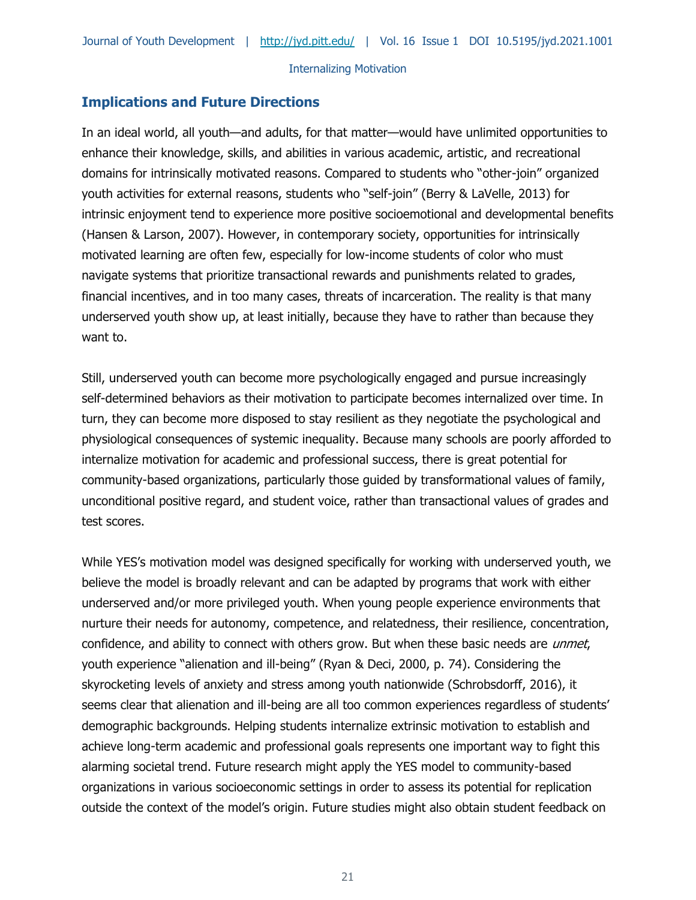## **Implications and Future Directions**

In an ideal world, all youth—and adults, for that matter—would have unlimited opportunities to enhance their knowledge, skills, and abilities in various academic, artistic, and recreational domains for intrinsically motivated reasons. Compared to students who "other-join" organized youth activities for external reasons, students who "self-join" (Berry & LaVelle, 2013) for intrinsic enjoyment tend to experience more positive socioemotional and developmental benefits (Hansen & Larson, 2007). However, in contemporary society, opportunities for intrinsically motivated learning are often few, especially for low-income students of color who must navigate systems that prioritize transactional rewards and punishments related to grades, financial incentives, and in too many cases, threats of incarceration. The reality is that many underserved youth show up, at least initially, because they have to rather than because they want to.

Still, underserved youth can become more psychologically engaged and pursue increasingly self-determined behaviors as their motivation to participate becomes internalized over time. In turn, they can become more disposed to stay resilient as they negotiate the psychological and physiological consequences of systemic inequality. Because many schools are poorly afforded to internalize motivation for academic and professional success, there is great potential for community-based organizations, particularly those guided by transformational values of family, unconditional positive regard, and student voice, rather than transactional values of grades and test scores.

While YES's motivation model was designed specifically for working with underserved youth, we believe the model is broadly relevant and can be adapted by programs that work with either underserved and/or more privileged youth. When young people experience environments that nurture their needs for autonomy, competence, and relatedness, their resilience, concentration, confidence, and ability to connect with others grow. But when these basic needs are *unmet*, youth experience "alienation and ill-being" (Ryan & Deci, 2000, p. 74). Considering the skyrocketing levels of anxiety and stress among youth nationwide (Schrobsdorff, 2016), it seems clear that alienation and ill-being are all too common experiences regardless of students' demographic backgrounds. Helping students internalize extrinsic motivation to establish and achieve long-term academic and professional goals represents one important way to fight this alarming societal trend. Future research might apply the YES model to community-based organizations in various socioeconomic settings in order to assess its potential for replication outside the context of the model's origin. Future studies might also obtain student feedback on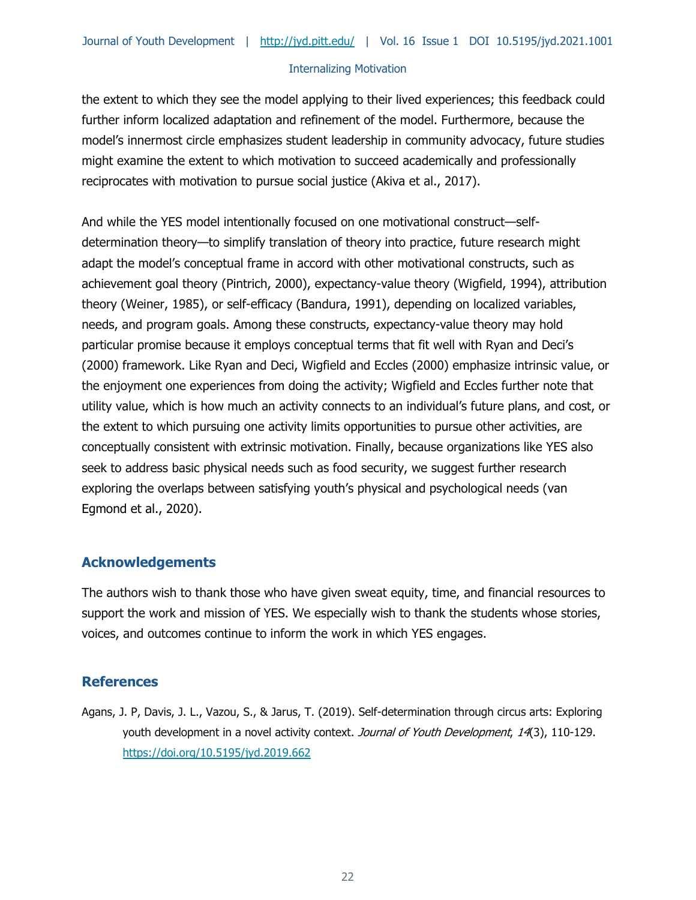the extent to which they see the model applying to their lived experiences; this feedback could further inform localized adaptation and refinement of the model. Furthermore, because the model's innermost circle emphasizes student leadership in community advocacy, future studies might examine the extent to which motivation to succeed academically and professionally reciprocates with motivation to pursue social justice (Akiva et al., 2017).

And while the YES model intentionally focused on one motivational construct—selfdetermination theory—to simplify translation of theory into practice, future research might adapt the model's conceptual frame in accord with other motivational constructs, such as achievement goal theory (Pintrich, 2000), expectancy-value theory (Wigfield, 1994), attribution theory (Weiner, 1985), or self-efficacy (Bandura, 1991), depending on localized variables, needs, and program goals. Among these constructs, expectancy-value theory may hold particular promise because it employs conceptual terms that fit well with Ryan and Deci's (2000) framework. Like Ryan and Deci, Wigfield and Eccles (2000) emphasize intrinsic value, or the enjoyment one experiences from doing the activity; Wigfield and Eccles further note that utility value, which is how much an activity connects to an individual's future plans, and cost, or the extent to which pursuing one activity limits opportunities to pursue other activities, are conceptually consistent with extrinsic motivation. Finally, because organizations like YES also seek to address basic physical needs such as food security, we suggest further research exploring the overlaps between satisfying youth's physical and psychological needs (van Egmond et al., 2020).

## **Acknowledgements**

The authors wish to thank those who have given sweat equity, time, and financial resources to support the work and mission of YES. We especially wish to thank the students whose stories, voices, and outcomes continue to inform the work in which YES engages.

## **References**

Agans, J. P, Davis, J. L., Vazou, S., & Jarus, T. (2019). Self-determination through circus arts: Exploring youth development in a novel activity context. Journal of Youth Development, 14(3), 110-129. <https://doi.org/10.5195/jyd.2019.662>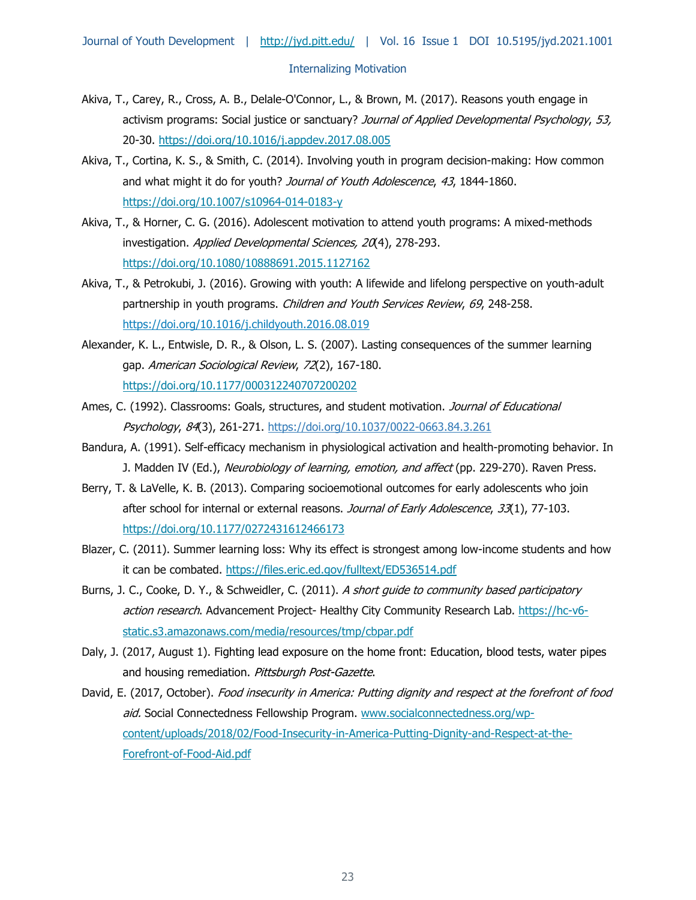- Akiva, T., Carey, R., Cross, A. B., Delale-O'Connor, L., & Brown, M. (2017). Reasons youth engage in activism programs: Social justice or sanctuary? Journal of Applied Developmental Psychology, 53, 20-30.<https://doi.org/10.1016/j.appdev.2017.08.005>
- Akiva, T., Cortina, K. S., & Smith, C. (2014). Involving youth in program decision-making: How common and what might it do for youth? Journal of Youth Adolescence, 43, 1844-1860. <https://doi.org/10.1007/s10964-014-0183-y>
- Akiva, T., & Horner, C. G. (2016). Adolescent motivation to attend youth programs: A mixed-methods investigation. Applied Developmental Sciences, 20(4), 278-293. <https://doi.org/10.1080/10888691.2015.1127162>
- Akiva, T., & Petrokubi, J. (2016). Growing with youth: A lifewide and lifelong perspective on youth-adult partnership in youth programs. Children and Youth Services Review, 69, 248-258. <https://doi.org/10.1016/j.childyouth.2016.08.019>
- Alexander, K. L., Entwisle, D. R., & Olson, L. S. (2007). Lasting consequences of the summer learning gap. American Sociological Review, 72(2), 167-180. <https://doi.org/10.1177/000312240707200202>
- Ames, C. (1992). Classrooms: Goals, structures, and student motivation. Journal of Educational Psychology, 84(3), 261-271. [https://doi.org/10.1037/0022-0663.84.3.261](https://psycnet.apa.org/doi/10.1037/0022-0663.84.3.261)
- Bandura, A. (1991). Self-efficacy mechanism in physiological activation and health-promoting behavior. In J. Madden IV (Ed.), Neurobiology of learning, emotion, and affect (pp. 229-270). Raven Press.
- Berry, T. & LaVelle, K. B. (2013). Comparing socioemotional outcomes for early adolescents who join after school for internal or external reasons. Journal of Early Adolescence, 33(1), 77-103. <https://doi.org/10.1177/0272431612466173>
- Blazer, C. (2011). Summer learning loss: Why its effect is strongest among low-income students and how it can be combated.<https://files.eric.ed.gov/fulltext/ED536514.pdf>
- Burns, J. C., Cooke, D. Y., & Schweidler, C. (2011). A short guide to community based participatory action research. Advancement Project- Healthy City Community Research Lab. [https://hc-v6](https://hc-v6-static.s3.amazonaws.com/media/resources/tmp/cbpar.pdf) [static.s3.amazonaws.com/media/resources/tmp/cbpar.pdf](https://hc-v6-static.s3.amazonaws.com/media/resources/tmp/cbpar.pdf)
- Daly, J. (2017, August 1). Fighting lead exposure on the home front: Education, blood tests, water pipes and housing remediation. Pittsburgh Post-Gazette.
- David, E. (2017, October). Food insecurity in America: Putting dignity and respect at the forefront of food aid. Social Connectedness Fellowship Program. [www.socialconnectedness.org/wp](http://www.socialconnectedness.org/wp-content/uploads/2018/02/Food-Insecurity-in-America-Putting-Dignity-and-Respect-at-the-Forefront-of-Food-Aid.pdf)[content/uploads/2018/02/Food-Insecurity-in-America-Putting-Dignity-and-Respect-at-the-](http://www.socialconnectedness.org/wp-content/uploads/2018/02/Food-Insecurity-in-America-Putting-Dignity-and-Respect-at-the-Forefront-of-Food-Aid.pdf)[Forefront-of-Food-Aid.pdf](http://www.socialconnectedness.org/wp-content/uploads/2018/02/Food-Insecurity-in-America-Putting-Dignity-and-Respect-at-the-Forefront-of-Food-Aid.pdf)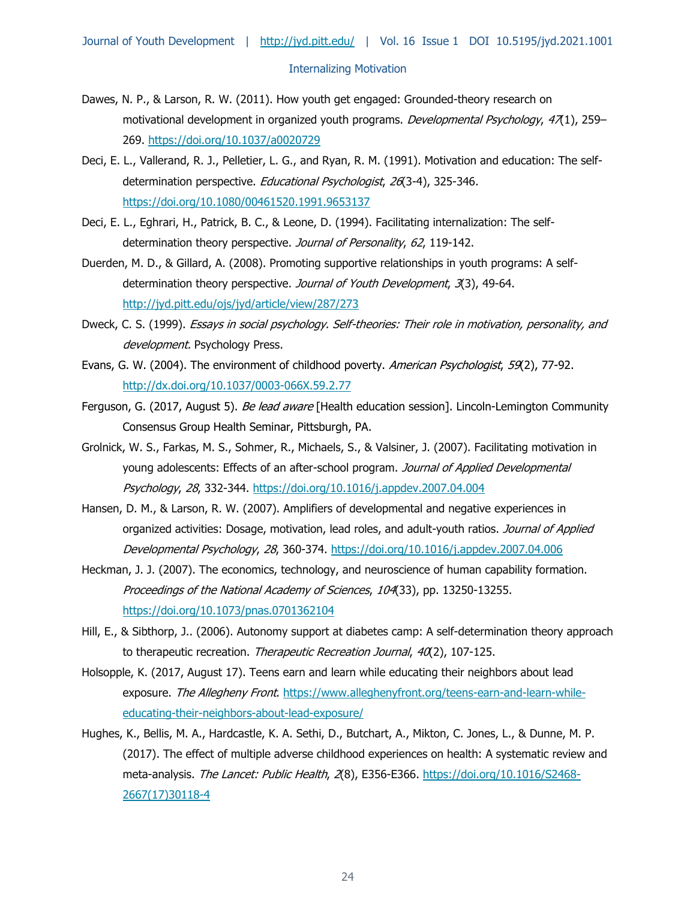- Dawes, N. P., & Larson, R. W. (2011). How youth get engaged: Grounded-theory research on motivational development in organized youth programs. *Developmental Psychology*,  $47(1)$ , 259– 269.<https://doi.org/10.1037/a0020729>
- Deci, E. L., Vallerand, R. J., Pelletier, L. G., and Ryan, R. M. (1991). Motivation and education: The selfdetermination perspective. Educational Psychologist, 26(3-4), 325-346. <https://doi.org/10.1080/00461520.1991.9653137>
- Deci, E. L., Eghrari, H., Patrick, B. C., & Leone, D. (1994). Facilitating internalization: The selfdetermination theory perspective. Journal of Personality, 62, 119-142.
- Duerden, M. D., & Gillard, A. (2008). Promoting supportive relationships in youth programs: A selfdetermination theory perspective. Journal of Youth Development, 3(3), 49-64. <http://jyd.pitt.edu/ojs/jyd/article/view/287/273>
- Dweck, C. S. (1999). Essays in social psychology. Self-theories: Their role in motivation, personality, and development. Psychology Press.
- Evans, G. W. (2004). The environment of childhood poverty. American Psychologist, 59(2), 77-92. [http://dx.doi.org/10.1037/0003-066X.59.2.77](https://psycnet.apa.org/doi/10.1037/0003-066X.59.2.77)
- Ferguson, G. (2017, August 5). Be lead aware [Health education session]. Lincoln-Lemington Community Consensus Group Health Seminar, Pittsburgh, PA.
- Grolnick, W. S., Farkas, M. S., Sohmer, R., Michaels, S., & Valsiner, J. (2007). Facilitating motivation in young adolescents: Effects of an after-school program. Journal of Applied Developmental Psychology, 28, 332-344.<https://doi.org/10.1016/j.appdev.2007.04.004>
- Hansen, D. M., & Larson, R. W. (2007). Amplifiers of developmental and negative experiences in organized activities: Dosage, motivation, lead roles, and adult-youth ratios. Journal of Applied Developmental Psychology, 28, 360-374.<https://doi.org/10.1016/j.appdev.2007.04.006>
- Heckman, J. J. (2007). The economics, technology, and neuroscience of human capability formation. Proceedings of the National Academy of Sciences, 104(33), pp. 13250-13255. <https://doi.org/10.1073/pnas.0701362104>
- Hill, E., & Sibthorp, J.. (2006). Autonomy support at diabetes camp: A self-determination theory approach to therapeutic recreation. Therapeutic Recreation Journal, 40(2), 107-125.
- Holsopple, K. (2017, August 17). Teens earn and learn while educating their neighbors about lead exposure. The Allegheny Front. [https://www.alleghenyfront.org/teens-earn-and-learn-while](https://www.alleghenyfront.org/teens-earn-and-learn-while-educating-their-neighbors-about-lead-exposure/)[educating-their-neighbors-about-lead-exposure/](https://www.alleghenyfront.org/teens-earn-and-learn-while-educating-their-neighbors-about-lead-exposure/)
- Hughes, K., Bellis, M. A., Hardcastle, K. A. Sethi, D., Butchart, A., Mikton, C. Jones, L., & Dunne, M. P. (2017). The effect of multiple adverse childhood experiences on health: A systematic review and meta-analysis. The Lancet: Public Health, 2(8), E356-E366. [https://doi.org/10.1016/S2468-](https://doi.org/10.1016/S2468-2667(17)30118-4) [2667\(17\)30118-4](https://doi.org/10.1016/S2468-2667(17)30118-4)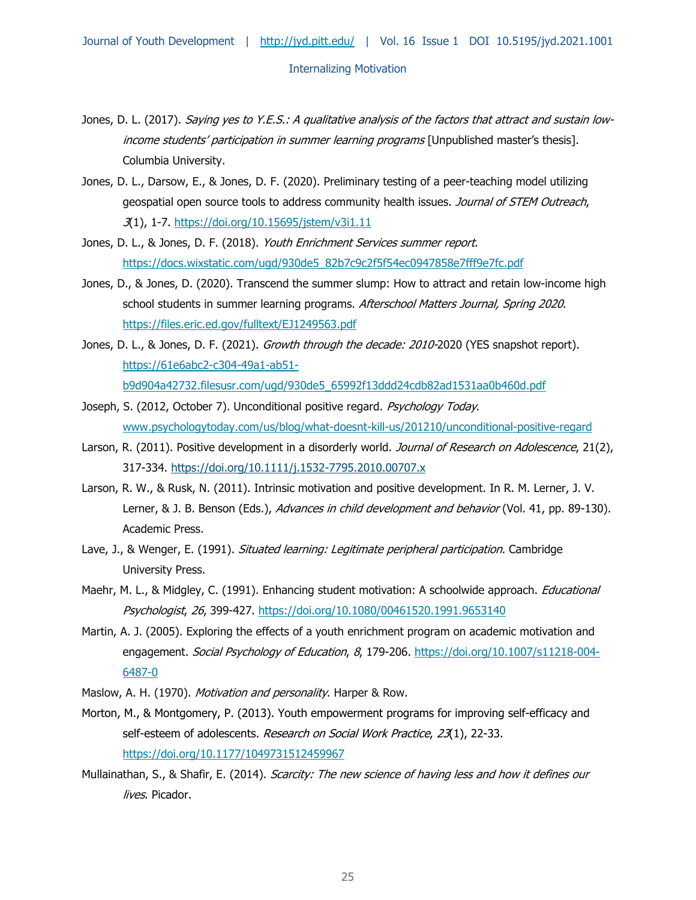- Jones, D. L. (2017). Saying yes to Y.E.S.: A qualitative analysis of the factors that attract and sustain lowincome students' participation in summer learning programs [Unpublished master's thesis]. Columbia University.
- Jones, D. L., Darsow, E., & Jones, D. F. (2020). Preliminary testing of a peer-teaching model utilizing geospatial open source tools to address community health issues. Journal of STEM Outreach, 3(1), 1-7.<https://doi.org/10.15695/jstem/v3i1.11>
- Jones, D. L., & Jones, D. F. (2018). Youth Enrichment Services summer report. [https://docs.wixstatic.com/ugd/930de5\\_82b7c9c2f5f54ec0947858e7fff9e7fc.pdf](https://docs.wixstatic.com/ugd/930de5_82b7c9c2f5f54ec0947858e7fff9e7fc.pdf)
- Jones, D., & Jones, D. (2020). Transcend the summer slump: How to attract and retain low-income high school students in summer learning programs. Afterschool Matters Journal, Spring 2020. <https://files.eric.ed.gov/fulltext/EJ1249563.pdf>
- Jones, D. L., & Jones, D. F. (2021). Growth through the decade: 2010-2020 (YES snapshot report). [https://61e6abc2-c304-49a1-ab51](https://61e6abc2-c304-49a1-ab51-b9d904a42732.filesusr.com/ugd/930de5_65992f13ddd24cdb82ad1531aa0b460d.pdf) [b9d904a42732.filesusr.com/ugd/930de5\\_65992f13ddd24cdb82ad1531aa0b460d.pdf](https://61e6abc2-c304-49a1-ab51-b9d904a42732.filesusr.com/ugd/930de5_65992f13ddd24cdb82ad1531aa0b460d.pdf)
- Joseph, S. (2012, October 7). Unconditional positive regard. Psychology Today. [www.psychologytoday.com/us/blog/what-doesnt-kill-us/201210/unconditional-positive-regard](http://www.psychologytoday.com/us/blog/what-doesnt-kill-us/201210/unconditional-positive-regard)
- Larson, R. (2011). Positive development in a disorderly world. Journal of Research on Adolescence, 21(2), 317-334.<https://doi.org/10.1111/j.1532-7795.2010.00707.x>
- Larson, R. W., & Rusk, N. (2011). Intrinsic motivation and positive development. In R. M. Lerner, J. V. Lerner, & J. B. Benson (Eds.), Advances in child development and behavior (Vol. 41, pp. 89-130). Academic Press.
- Lave, J., & Wenger, E. (1991). Situated learning: Legitimate peripheral participation. Cambridge University Press.
- Maehr, M. L., & Midgley, C. (1991). Enhancing student motivation: A schoolwide approach. *Educational* Psychologist, 26, 399-427.<https://doi.org/10.1080/00461520.1991.9653140>
- Martin, A. J. (2005). Exploring the effects of a youth enrichment program on academic motivation and engagement. Social Psychology of Education, 8, 179-206. [https://doi.org/10.1007/s11218-004-](https://doi.org/10.1007/s11218-004-6487-0) [6487-0](https://doi.org/10.1007/s11218-004-6487-0)
- Maslow, A. H. (1970). Motivation and personality. Harper & Row.
- Morton, M., & Montgomery, P. (2013). Youth empowerment programs for improving self-efficacy and self-esteem of adolescents. Research on Social Work Practice, 23(1), 22-33. <https://doi.org/10.1177/1049731512459967>
- Mullainathan, S., & Shafir, E. (2014). Scarcity: The new science of having less and how it defines our lives. Picador.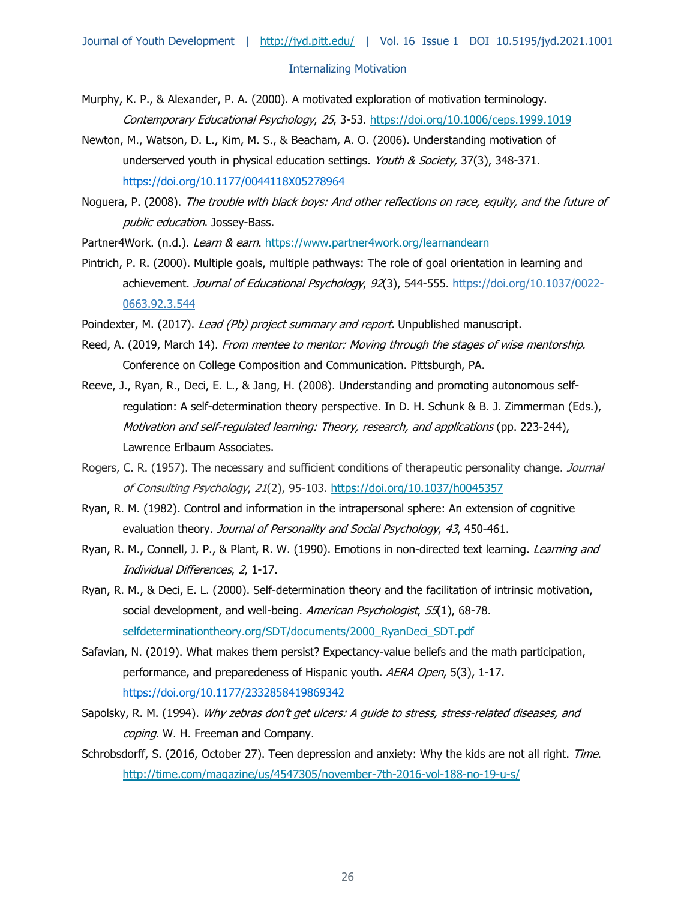- Murphy, K. P., & Alexander, P. A. (2000). A motivated exploration of motivation terminology. Contemporary Educational Psychology, 25, 3-53.<https://doi.org/10.1006/ceps.1999.1019>
- Newton, M., Watson, D. L., Kim, M. S., & Beacham, A. O. (2006). Understanding motivation of underserved youth in physical education settings. Youth & Society, 37(3), 348-371. [https://doi.org/10.1177/0044118X05278964](https://doi.org/10.1177%2F0044118X05278964)
- Noguera, P. (2008). The trouble with black boys: And other reflections on race, equity, and the future of public education. Jossey-Bass.
- Partner4Work. (n.d.). Learn & earn.<https://www.partner4work.org/learnandearn>
- Pintrich, P. R. (2000). Multiple goals, multiple pathways: The role of goal orientation in learning and achievement. Journal of Educational Psychology, 92(3), 544-555. [https://doi.org/10.1037/0022-](https://psycnet.apa.org/doi/10.1037/0022-0663.92.3.544) [0663.92.3.544](https://psycnet.apa.org/doi/10.1037/0022-0663.92.3.544)

Poindexter, M. (2017). Lead (Pb) project summary and report. Unpublished manuscript.

- Reed, A. (2019, March 14). From mentee to mentor: Moving through the stages of wise mentorship. Conference on College Composition and Communication. Pittsburgh, PA.
- Reeve, J., Ryan, R., Deci, E. L., & Jang, H. (2008). Understanding and promoting autonomous selfregulation: A self-determination theory perspective. In D. H. Schunk & B. J. Zimmerman (Eds.), Motivation and self-regulated learning: Theory, research, and applications (pp. 223-244), Lawrence Erlbaum Associates.
- Rogers, C. R. (1957). The necessary and sufficient conditions of therapeutic personality change. Journal of Consulting Psychology, 21(2), 95-103.<https://doi.org/10.1037/h0045357>
- Ryan, R. M. (1982). Control and information in the intrapersonal sphere: An extension of cognitive evaluation theory. Journal of Personality and Social Psychology, 43, 450-461.
- Ryan, R. M., Connell, J. P., & Plant, R. W. (1990). Emotions in non-directed text learning. Learning and Individual Differences, 2, 1-17.
- Ryan, R. M., & Deci, E. L. (2000). Self-determination theory and the facilitation of intrinsic motivation, social development, and well-being. American Psychologist, 55(1), 68-78. [selfdeterminationtheory.org/SDT/documents/2000\\_RyanDeci\\_SDT.pdf](https://fiudit-my.sharepoint.com/personal/pfeigenb_fiu_edu/Documents/Documents/FIU/Youth%20Enrichment%20Services/YES%20mentoring%20framework%20materials/selfdeterminationtheory.org/SDT/documents/2000_RyanDeci_SDT.pdf)
- Safavian, N. (2019). What makes them persist? Expectancy-value beliefs and the math participation, performance, and preparedeness of Hispanic youth. AERA Open, 5(3), 1-17. [https://doi.org/10.1177/2332858419869342](https://doi.org/10.1177%2F2332858419869342)
- Sapolsky, R. M. (1994). Why zebras don't get ulcers: A guide to stress, stress-related diseases, and coping. W. H. Freeman and Company.
- Schrobsdorff, S. (2016, October 27). Teen depression and anxiety: Why the kids are not all right. Time. <http://time.com/magazine/us/4547305/november-7th-2016-vol-188-no-19-u-s/>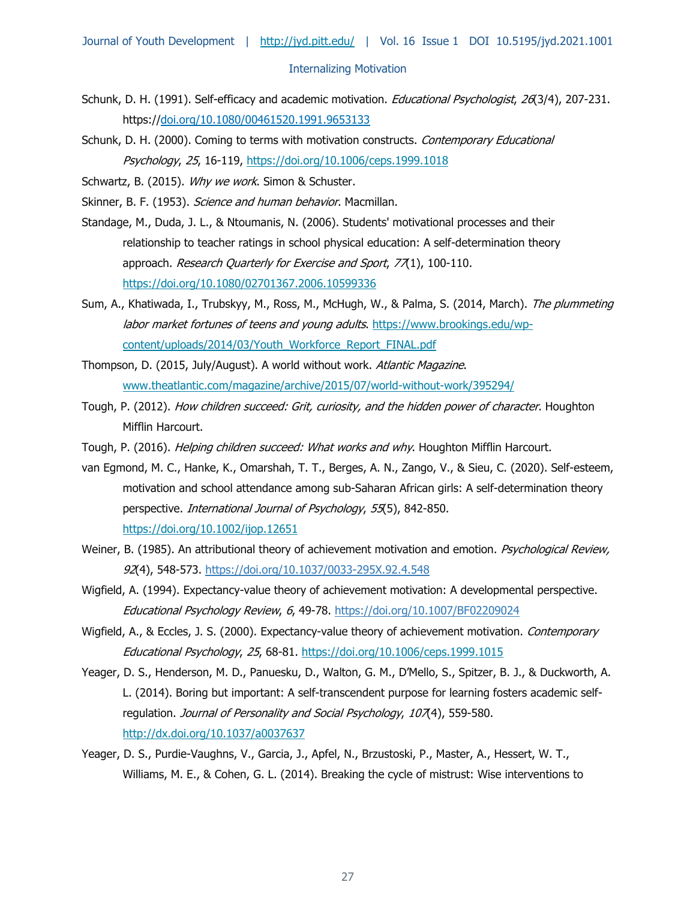- Schunk, D. H. (1991). Self-efficacy and academic motivation. Educational Psychologist, 26(3/4), 207-231. https:/[/doi.org/10.1080/00461520.1991.9653133](https://doi.org/10.1080/00461520.1991.9653133)
- Schunk, D. H. (2000). Coming to terms with motivation constructs. Contemporary Educational Psychology, 25, 16-119,<https://doi.org/10.1006/ceps.1999.1018>
- Schwartz, B. (2015). Why we work. Simon & Schuster.
- Skinner, B. F. (1953). Science and human behavior. Macmillan.
- Standage, M., Duda, J. L., & Ntoumanis, N. (2006). Students' motivational processes and their relationship to teacher ratings in school physical education: A self-determination theory approach. Research Quarterly for Exercise and Sport, 77(1), 100-110. <https://doi.org/10.1080/02701367.2006.10599336>
- Sum, A., Khatiwada, I., Trubskyy, M., Ross, M., McHugh, W., & Palma, S. (2014, March). The plummeting labor market fortunes of teens and young adults. [https://www.brookings.edu/wp](https://www.brookings.edu/wp-content/uploads/2014/03/Youth_Workforce_Report_FINAL.pdf)[content/uploads/2014/03/Youth\\_Workforce\\_Report\\_FINAL.pdf](https://www.brookings.edu/wp-content/uploads/2014/03/Youth_Workforce_Report_FINAL.pdf)
- Thompson, D. (2015, July/August). A world without work. Atlantic Magazine. [www.theatlantic.com/magazine/archive/2015/07/world-without-work/395294/](http://www.theatlantic.com/magazine/archive/2015/07/world-without-work/395294/)
- Tough, P. (2012). How children succeed: Grit, curiosity, and the hidden power of character. Houghton Mifflin Harcourt.
- Tough, P. (2016). *Helping children succeed: What works and why*. Houghton Mifflin Harcourt.
- van Egmond, M. C., Hanke, K., Omarshah, T. T., Berges, A. N., Zango, V., & Sieu, C. (2020). Self-esteem, motivation and school attendance among sub-Saharan African girls: A self-determination theory perspective. *International Journal of Psychology*, 55(5), 842-850. <https://doi.org/10.1002/ijop.12651>
- Weiner, B. (1985). An attributional theory of achievement motivation and emotion. Psychological Review, 92(4), 548-573. [https://doi.org/10.1037/0033-295X.92.4.548](https://psycnet.apa.org/doi/10.1037/0033-295X.92.4.548)
- Wigfield, A. (1994). Expectancy-value theory of achievement motivation: A developmental perspective. Educational Psychology Review, 6, 49-78. [https://doi.org/10.1007/BF02209024](https://psycnet.apa.org/doi/10.1007/BF02209024)
- Wigfield, A., & Eccles, J. S. (2000). Expectancy-value theory of achievement motivation. Contemporary Educational Psychology, 25, 68-81.<https://doi.org/10.1006/ceps.1999.1015>
- Yeager, D. S., Henderson, M. D., Panuesku, D., Walton, G. M., D'Mello, S., Spitzer, B. J., & Duckworth, A. L. (2014). Boring but important: A self-transcendent purpose for learning fosters academic selfregulation. Journal of Personality and Social Psychology, 107(4), 559-580. <http://dx.doi.org/10.1037/a0037637>
- Yeager, D. S., Purdie-Vaughns, V., Garcia, J., Apfel, N., Brzustoski, P., Master, A., Hessert, W. T., Williams, M. E., & Cohen, G. L. (2014). Breaking the cycle of mistrust: Wise interventions to